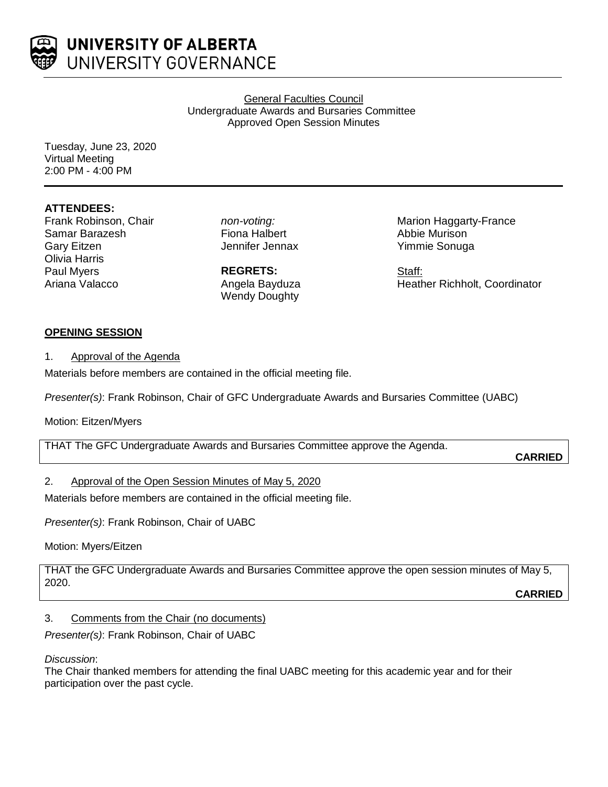

General Faculties Council Undergraduate Awards and Bursaries Committee Approved Open Session Minutes

Tuesday, June 23, 2020 Virtual Meeting 2:00 PM - 4:00 PM

# **ATTENDEES:**

Frank Robinson, Chair Samar Barazesh Gary Eitzen Olivia Harris Paul Myers Ariana Valacco

*non-voting:* Fiona Halbert Jennifer Jennax

**REGRETS:** Angela Bayduza Wendy Doughty

Marion Haggarty-France Abbie Murison Yimmie Sonuga

Staff: Heather Richholt, Coordinator

### **OPENING SESSION**

1. Approval of the Agenda

Materials before members are contained in the official meeting file.

*Presenter(s)*: Frank Robinson, Chair of GFC Undergraduate Awards and Bursaries Committee (UABC)

### Motion: Eitzen/Myers

THAT The GFC Undergraduate Awards and Bursaries Committee approve the Agenda.

**CARRIED**

# 2. Approval of the Open Session Minutes of May 5, 2020

Materials before members are contained in the official meeting file.

*Presenter(s)*: Frank Robinson, Chair of UABC

Motion: Myers/Eitzen

THAT the GFC Undergraduate Awards and Bursaries Committee approve the open session minutes of May 5, 2020.

**CARRIED**

# 3. Comments from the Chair (no documents)

*Presenter(s)*: Frank Robinson, Chair of UABC

*Discussion*:

The Chair thanked members for attending the final UABC meeting for this academic year and for their participation over the past cycle.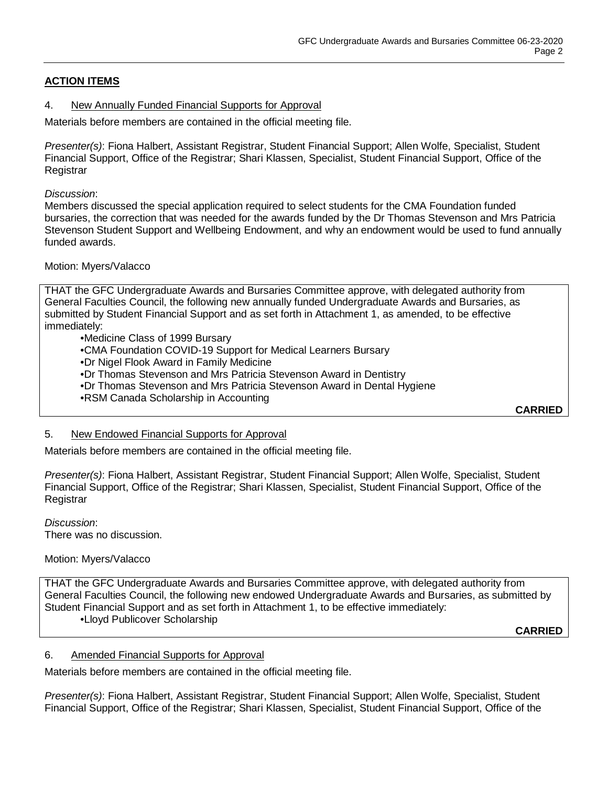# **ACTION ITEMS**

#### 4. New Annually Funded Financial Supports for Approval

Materials before members are contained in the official meeting file.

*Presenter(s)*: Fiona Halbert, Assistant Registrar, Student Financial Support; Allen Wolfe, Specialist, Student Financial Support, Office of the Registrar; Shari Klassen, Specialist, Student Financial Support, Office of the **Registrar** 

#### *Discussion*:

Members discussed the special application required to select students for the CMA Foundation funded bursaries, the correction that was needed for the awards funded by the Dr Thomas Stevenson and Mrs Patricia Stevenson Student Support and Wellbeing Endowment, and why an endowment would be used to fund annually funded awards.

#### Motion: Myers/Valacco

THAT the GFC Undergraduate Awards and Bursaries Committee approve, with delegated authority from General Faculties Council, the following new annually funded Undergraduate Awards and Bursaries, as submitted by Student Financial Support and as set forth in Attachment 1, as amended, to be effective immediately:

•Medicine Class of 1999 Bursary •CMA Foundation COVID-19 Support for Medical Learners Bursary •Dr Nigel Flook Award in Family Medicine •Dr Thomas Stevenson and Mrs Patricia Stevenson Award in Dentistry •Dr Thomas Stevenson and Mrs Patricia Stevenson Award in Dental Hygiene •RSM Canada Scholarship in Accounting

**CARRIED**

#### 5. New Endowed Financial Supports for Approval

Materials before members are contained in the official meeting file.

*Presenter(s)*: Fiona Halbert, Assistant Registrar, Student Financial Support; Allen Wolfe, Specialist, Student Financial Support, Office of the Registrar; Shari Klassen, Specialist, Student Financial Support, Office of the **Registrar** 

*Discussion*: There was no discussion.

### Motion: Myers/Valacco

THAT the GFC Undergraduate Awards and Bursaries Committee approve, with delegated authority from General Faculties Council, the following new endowed Undergraduate Awards and Bursaries, as submitted by Student Financial Support and as set forth in Attachment 1, to be effective immediately: •Lloyd Publicover Scholarship

**CARRIED**

### 6. Amended Financial Supports for Approval

Materials before members are contained in the official meeting file.

*Presenter(s)*: Fiona Halbert, Assistant Registrar, Student Financial Support; Allen Wolfe, Specialist, Student Financial Support, Office of the Registrar; Shari Klassen, Specialist, Student Financial Support, Office of the